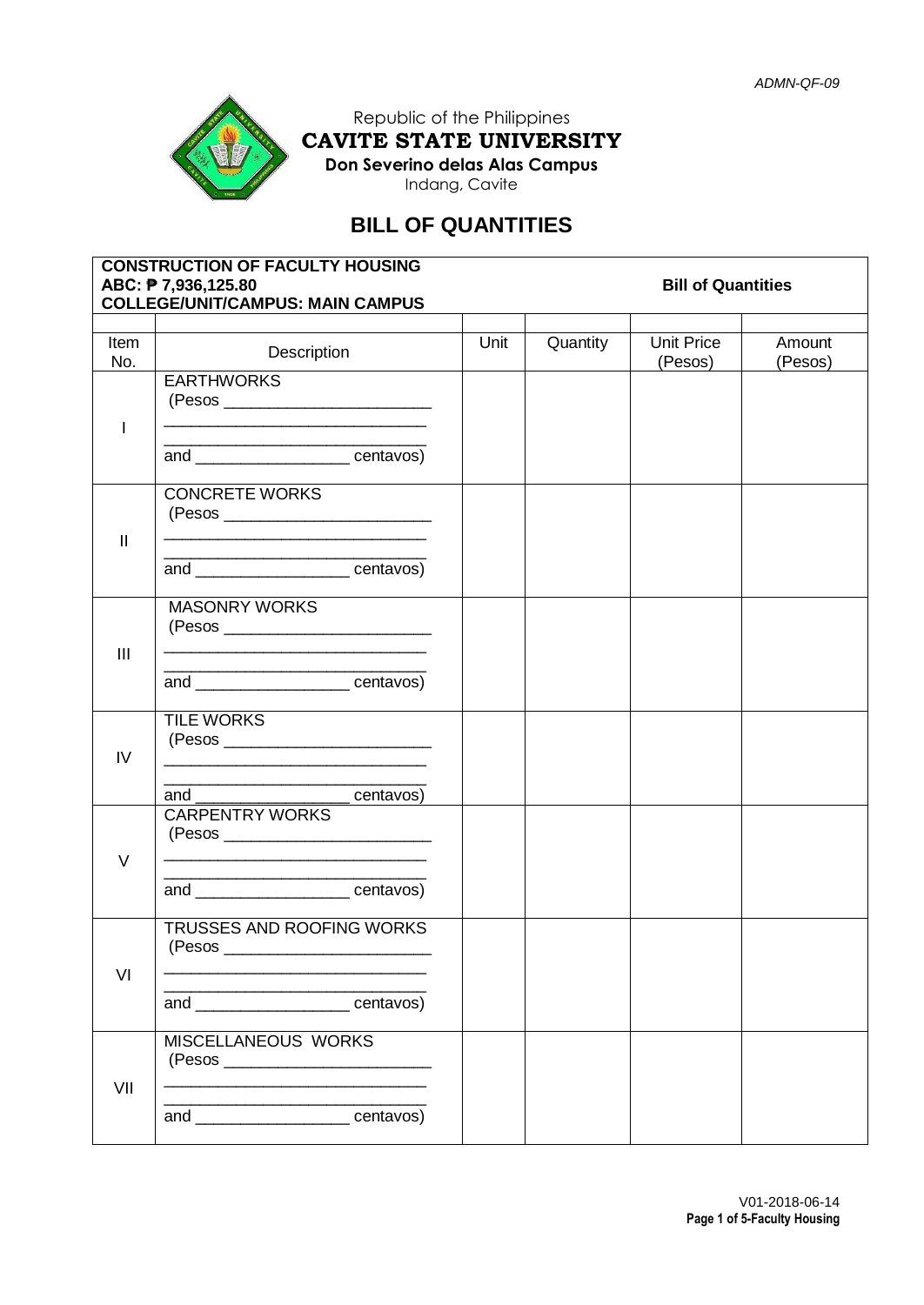

Republic of the Philippines **CAVITE STATE UNIVERSITY Don Severino delas Alas Campus** Indang, Cavite

# **BILL OF QUANTITIES**

| <b>CONSTRUCTION OF FACULTY HOUSING</b><br>ABC: <b>P</b> 7,936,125.80<br><b>Bill of Quantities</b><br><b>COLLEGE/UNIT/CAMPUS: MAIN CAMPUS</b> |                                                                                                                                                                                                                                                           |      |          |                              |                   |  |  |
|----------------------------------------------------------------------------------------------------------------------------------------------|-----------------------------------------------------------------------------------------------------------------------------------------------------------------------------------------------------------------------------------------------------------|------|----------|------------------------------|-------------------|--|--|
|                                                                                                                                              |                                                                                                                                                                                                                                                           |      |          |                              |                   |  |  |
| Item<br>No.                                                                                                                                  | Description                                                                                                                                                                                                                                               | Unit | Quantity | <b>Unit Price</b><br>(Pesos) | Amount<br>(Pesos) |  |  |
|                                                                                                                                              | <b>EARTHWORKS</b><br><u> 1989 - Johann John Stone, mars et al. (1989)</u><br><u> 1989 - Johann John Harry Barn, mars and deutscher Stadt</u>                                                                                                              |      |          |                              |                   |  |  |
|                                                                                                                                              | and _______________________centavos)                                                                                                                                                                                                                      |      |          |                              |                   |  |  |
| $\mathbf{I}$                                                                                                                                 | <b>CONCRETE WORKS</b>                                                                                                                                                                                                                                     |      |          |                              |                   |  |  |
|                                                                                                                                              | <u> 1989 - Johann John Harry, mensk politik fotograf (d. 1989)</u><br>and ________________________centavos)                                                                                                                                               |      |          |                              |                   |  |  |
| $\mathbf{III}$                                                                                                                               | <b>MASONRY WORKS</b>                                                                                                                                                                                                                                      |      |          |                              |                   |  |  |
|                                                                                                                                              | and ________________________centavos)                                                                                                                                                                                                                     |      |          |                              |                   |  |  |
| IV                                                                                                                                           | <b>TILE WORKS</b><br><u> 1989 - Johann John Harry John Harry John Harry John Harry John Harry John Harry John Harry John Harry John Harry John Harry John Harry John Harry John Harry John Harry John Harry John Harry John Harry John Harry John Har</u> |      |          |                              |                   |  |  |
|                                                                                                                                              | and<br>centavos)                                                                                                                                                                                                                                          |      |          |                              |                   |  |  |
| $\vee$                                                                                                                                       | <b>CARPENTRY WORKS</b>                                                                                                                                                                                                                                    |      |          |                              |                   |  |  |
|                                                                                                                                              | and ______________________centavos)                                                                                                                                                                                                                       |      |          |                              |                   |  |  |
| VI                                                                                                                                           | TRUSSES AND ROOFING WORKS<br>(Pesos                                                                                                                                                                                                                       |      |          |                              |                   |  |  |
|                                                                                                                                              | and _______________________centavos)                                                                                                                                                                                                                      |      |          |                              |                   |  |  |
| VII                                                                                                                                          | MISCELLANEOUS WORKS                                                                                                                                                                                                                                       |      |          |                              |                   |  |  |
|                                                                                                                                              | and ______________________centavos)                                                                                                                                                                                                                       |      |          |                              |                   |  |  |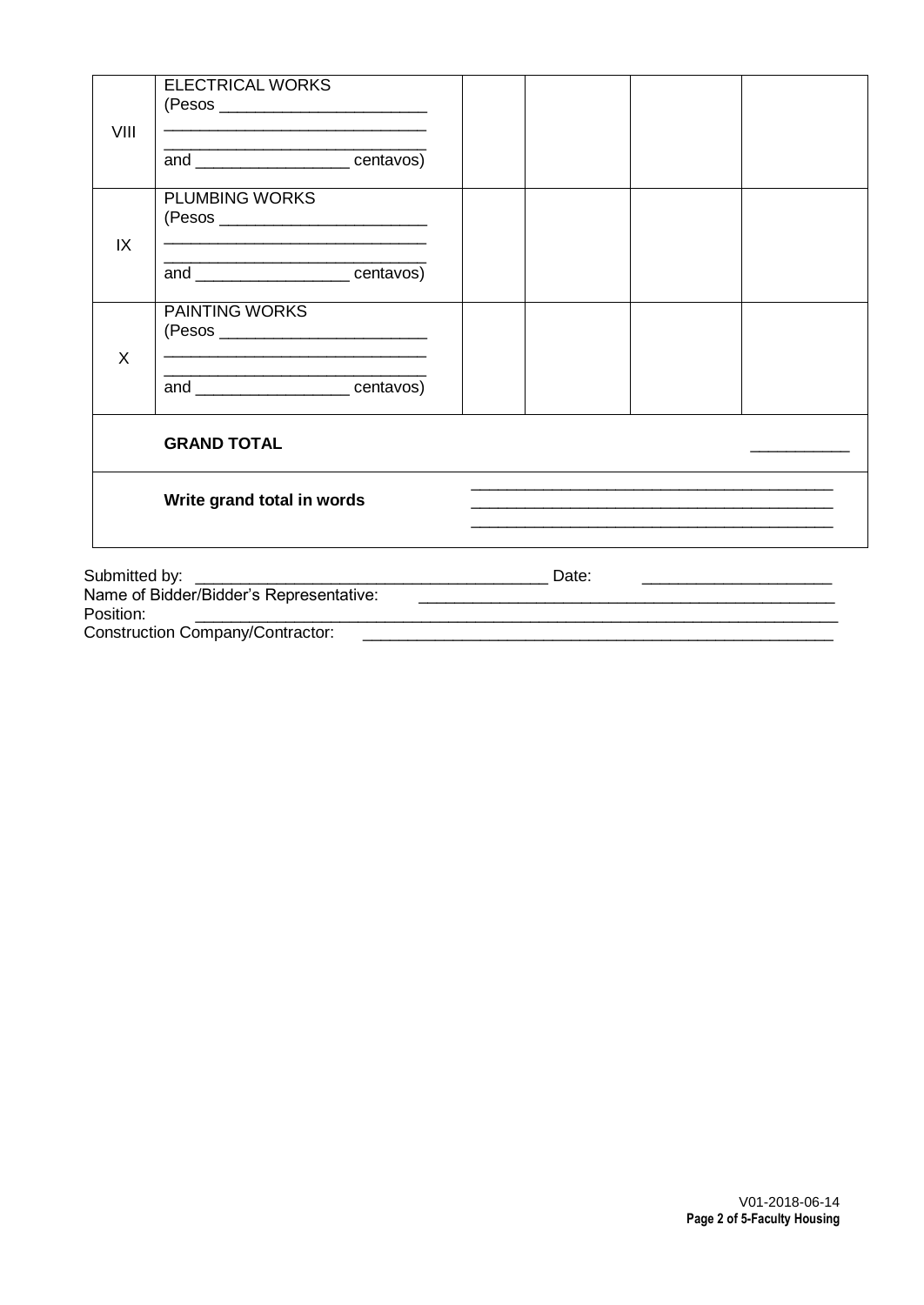|                                                          | <b>ELECTRICAL WORKS</b>                                                                                                                                 |       |                                                                                                                      |  |
|----------------------------------------------------------|---------------------------------------------------------------------------------------------------------------------------------------------------------|-------|----------------------------------------------------------------------------------------------------------------------|--|
| VIII<br>IX                                               | <u> 1989 - Jan James James Jan James James James James James James James James James James James James James Jam</u><br>and __________________centavos) |       |                                                                                                                      |  |
|                                                          | <b>PLUMBING WORKS</b><br><u> 1989 - Johann Harry Barn, mars and de Branch and de Branch and de Branch and de Branch and de Branch and de B</u>          |       |                                                                                                                      |  |
| X                                                        | and centavos)                                                                                                                                           |       |                                                                                                                      |  |
|                                                          | <b>PAINTING WORKS</b><br><u> 1989 - Johann Harry Harry Harry Harry Harry Harry Harry Harry Harry Harry Harry Harry Harry Harry Harry Harry</u>          |       |                                                                                                                      |  |
|                                                          | <u> 1989 - Johann John Harrison, markazi bashkar (</u><br>and centavos)                                                                                 |       |                                                                                                                      |  |
|                                                          | <b>GRAND TOTAL</b>                                                                                                                                      |       |                                                                                                                      |  |
|                                                          | Write grand total in words                                                                                                                              |       | <u> 1989 - Jan James James James James James James James James James James James James James James James James J</u> |  |
| Submitted by:<br>Name of Bidder/Bidder's Representative: |                                                                                                                                                         | Date: |                                                                                                                      |  |

Name of Bidder/Bidder's Representative:<br>Position:

Construction Company/Contractor: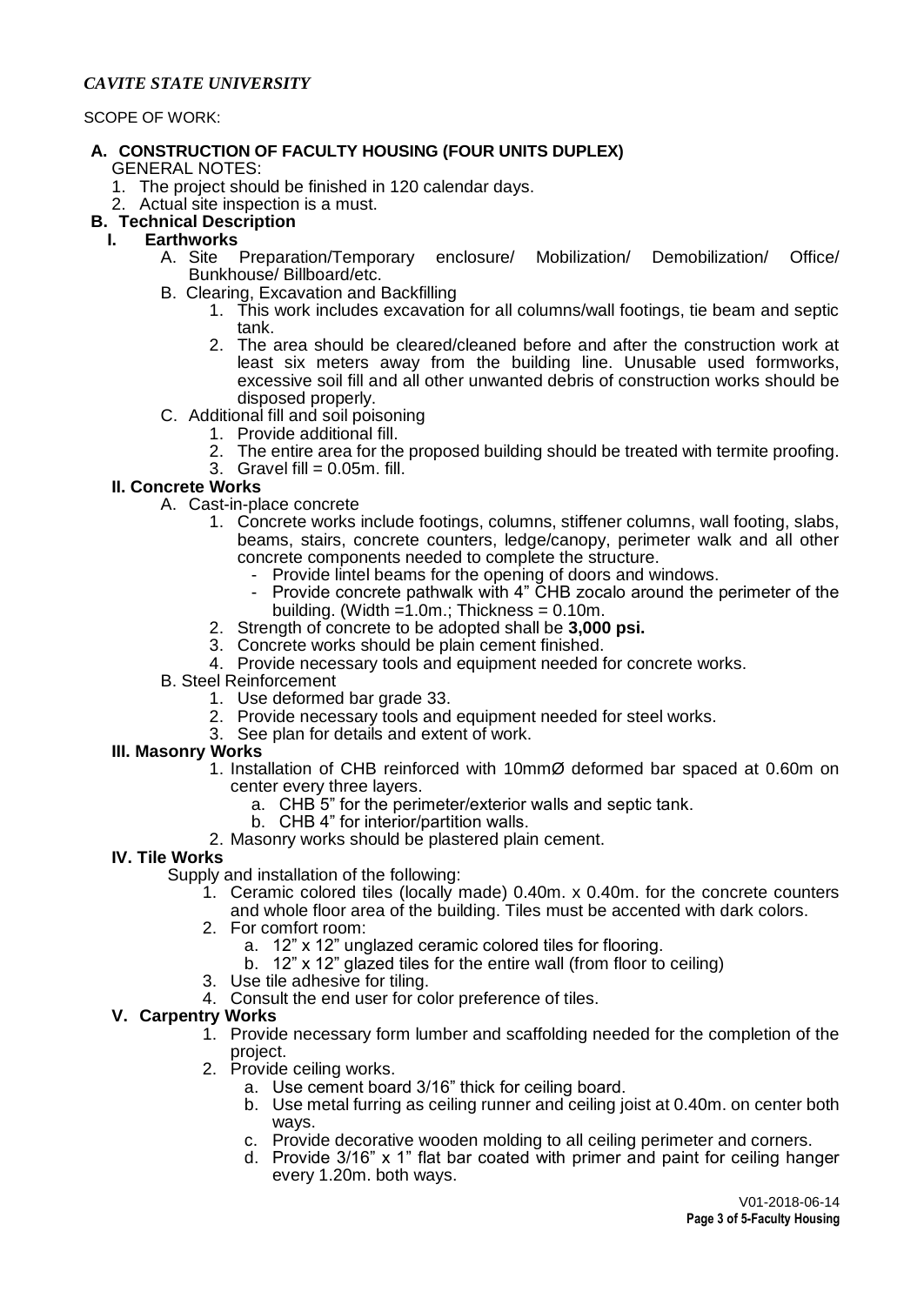## *CAVITE STATE UNIVERSITY*

#### SCOPE OF WORK:

#### **A. CONSTRUCTION OF FACULTY HOUSING (FOUR UNITS DUPLEX)** GENERAL NOTES:

- 1. The project should be finished in 120 calendar days.
- 2. Actual site inspection is a must.

# **B. Technical Description**

- **I. Earthworks**
	- A. Site Preparation/Temporary enclosure/ Mobilization/ Demobilization/ Office/ Bunkhouse/ Billboard/etc.
	- B.Clearing, Excavation and Backfilling
		- 1. This work includes excavation for all columns/wall footings, tie beam and septic tank.
		- 2. The area should be cleared/cleaned before and after the construction work at least six meters away from the building line. Unusable used formworks, excessive soil fill and all other unwanted debris of construction works should be disposed properly.
	- C. Additional fill and soil poisoning
		- 1. Provide additional fill.
		- 2. The entire area for the proposed building should be treated with termite proofing.
		- 3. Gravel fill  $= 0.05$ m. fill.

# **II. Concrete Works**

- A. Cast-in-place concrete
	- 1. Concrete works include footings, columns, stiffener columns, wall footing, slabs, beams, stairs, concrete counters, ledge/canopy, perimeter walk and all other concrete components needed to complete the structure.
		- Provide lintel beams for the opening of doors and windows.<br>- Provide concrete pathwalk with 4" CHB zocalo around the t
		- Provide concrete pathwalk with 4" CHB zocalo around the perimeter of the building. (Width  $=1.0$ m.; Thickness = 0.10m.
	- 2. Strength of concrete to be adopted shall be **3,000 psi.**
	- 3. Concrete works should be plain cement finished.
	- 4. Provide necessary tools and equipment needed for concrete works.
- B. Steel Reinforcement
	- 1. Use deformed bar grade 33.
	- 2. Provide necessary tools and equipment needed for steel works.
	- 3. See plan for details and extent of work.

#### **III. Masonry Works**

- 1. Installation of CHB reinforced with 10mmØ deformed bar spaced at 0.60m on center every three layers.
	- a. CHB 5" for the perimeter/exterior walls and septic tank.
	- b. CHB 4" for interior/partition walls.
- 2. Masonry works should be plastered plain cement.

#### **IV. Tile Works**

- Supply and installation of the following:
	- 1. Ceramic colored tiles (locally made) 0.40m. x 0.40m. for the concrete counters
		- and whole floor area of the building. Tiles must be accented with dark colors.
	- 2. For comfort room:
		- a. 12" x 12" unglazed ceramic colored tiles for flooring.
		- b. 12" x 12" glazed tiles for the entire wall (from floor to ceiling)
	- 3. Use tile adhesive for tiling.
	- 4. Consult the end user for color preference of tiles.

# **V. Carpentry Works**

- 1. Provide necessary form lumber and scaffolding needed for the completion of the project.
- 2. Provide ceiling works.
	- a. Use cement board 3/16" thick for ceiling board.
	- b. Use metal furring as ceiling runner and ceiling joist at 0.40m. on center both ways.
	- c. Provide decorative wooden molding to all ceiling perimeter and corners.
	- d. Provide 3/16" x 1" flat bar coated with primer and paint for ceiling hanger every 1.20m. both ways.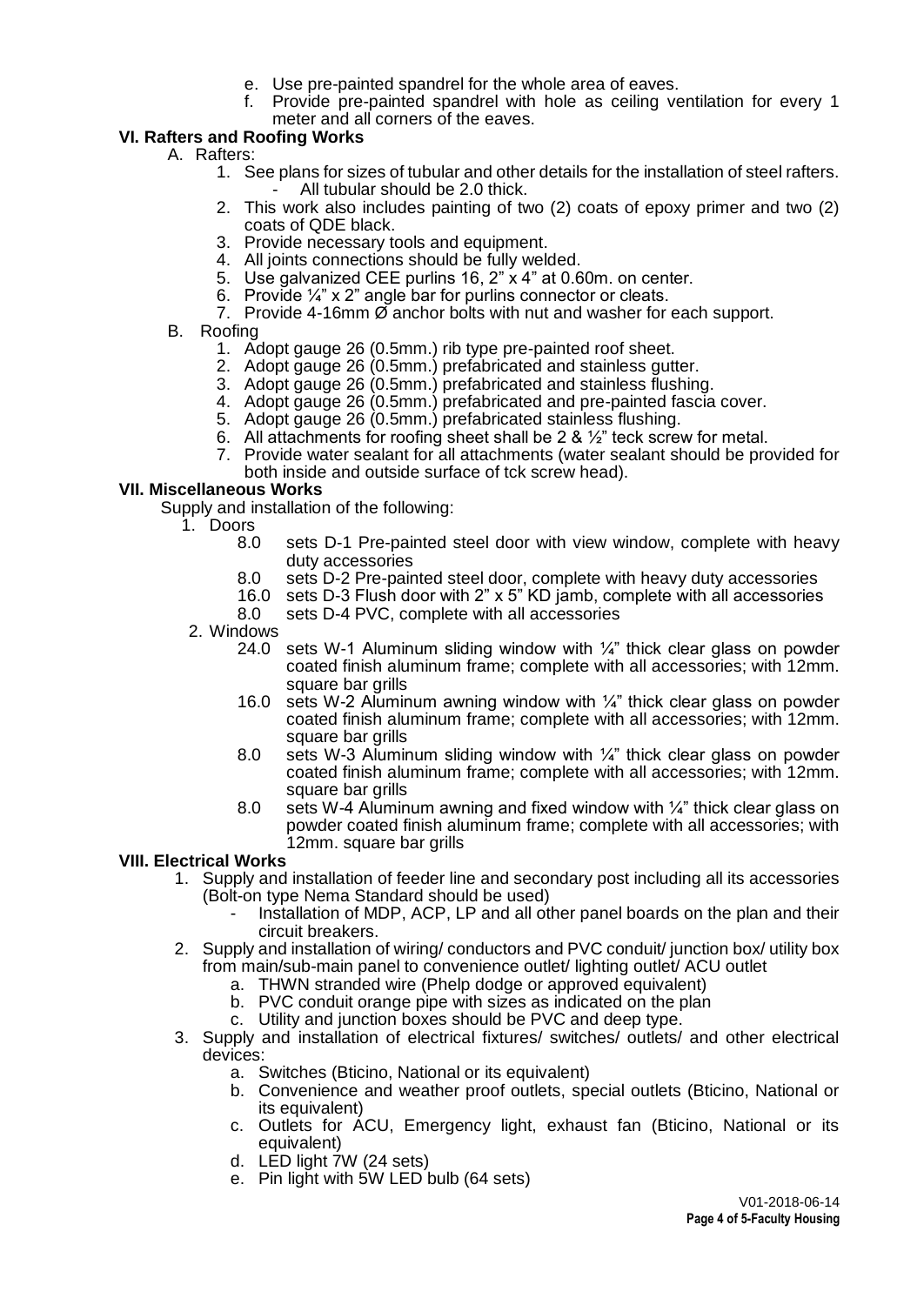- e. Use pre-painted spandrel for the whole area of eaves.
- f. Provide pre-painted spandrel with hole as ceiling ventilation for every 1 meter and all corners of the eaves.

# **VI. Rafters and Roofing Works**

- A. Rafters:
	- 1. See plans for sizes of tubular and other details for the installation of steel rafters. All tubular should be 2.0 thick.
	- 2. This work also includes painting of two (2) coats of epoxy primer and two (2) coats of QDE black.
	- 3. Provide necessary tools and equipment.
	- 4. All joints connections should be fully welded.
	- 5. Use galvanized CEE purlins 16, 2" x 4" at 0.60m. on center.
	- 6. Provide ¼" x 2" angle bar for purlins connector or cleats.
	- 7. Provide 4-16mm  $\emptyset$  anchor bolts with nut and washer for each support.
- B. Roofing
	- 1. Adopt gauge 26 (0.5mm.) rib type pre-painted roof sheet.
	- 2. Adopt gauge 26 (0.5mm.) prefabricated and stainless gutter.
	- 3. Adopt gauge 26 (0.5mm.) prefabricated and stainless flushing.
	- 4. Adopt gauge 26 (0.5mm.) prefabricated and pre-painted fascia cover.
	- 5. Adopt gauge 26 (0.5mm.) prefabricated stainless flushing.
	- 6. All attachments for roofing sheet shall be 2 &  $\frac{1}{2}$ " teck screw for metal.
	- 7. Provide water sealant for all attachments (water sealant should be provided for both inside and outside surface of tck screw head).

## **VII. Miscellaneous Works**

- Supply and installation of the following:
- 1. Doors
	- 8.0 sets D-1 Pre-painted steel door with view window, complete with heavy duty accessories
	- 8.0 sets D-2 Pre-painted steel door, complete with heavy duty accessories
	- 16.0 sets D-3 Flush door with 2" x 5" KD jamb, complete with all accessories
	- 8.0 sets D-4 PVC, complete with all accessories
	- 2. Windows
		- 24.0 sets W-1 Aluminum sliding window with ¼" thick clear glass on powder coated finish aluminum frame; complete with all accessories; with 12mm. square bar grills
		- 16.0 sets W-2 Aluminum awning window with  $\frac{1}{4}$ " thick clear glass on powder coated finish aluminum frame; complete with all accessories; with 12mm. square bar grills
		- 8.0 sets W-3 Aluminum sliding window with ¼" thick clear glass on powder coated finish aluminum frame; complete with all accessories; with 12mm. square bar grills
		- 8.0 sets W-4 Aluminum awning and fixed window with  $\frac{1}{4}$ " thick clear glass on powder coated finish aluminum frame; complete with all accessories; with 12mm. square bar grills

#### **VIII. Electrical Works**

- 1. Supply and installation of feeder line and secondary post including all its accessories (Bolt-on type Nema Standard should be used)
	- Installation of MDP, ACP, LP and all other panel boards on the plan and their circuit breakers.
- 2. Supply and installation of wiring/ conductors and PVC conduit/ junction box/ utility box from main/sub-main panel to convenience outlet/ lighting outlet/ ACU outlet
	- a. THWN stranded wire (Phelp dodge or approved equivalent)
	- b. PVC conduit orange pipe with sizes as indicated on the plan
	- c. Utility and junction boxes should be PVC and deep type.
- 3. Supply and installation of electrical fixtures/ switches/ outlets/ and other electrical devices:
	- a. Switches (Bticino, National or its equivalent)
	- b. Convenience and weather proof outlets, special outlets (Bticino, National or its equivalent)
	- c. Outlets for ACU, Emergency light, exhaust fan (Bticino, National or its equivalent)
	- d. LED light 7W (24 sets)
	- e. Pin light with 5W LED bulb (64 sets)